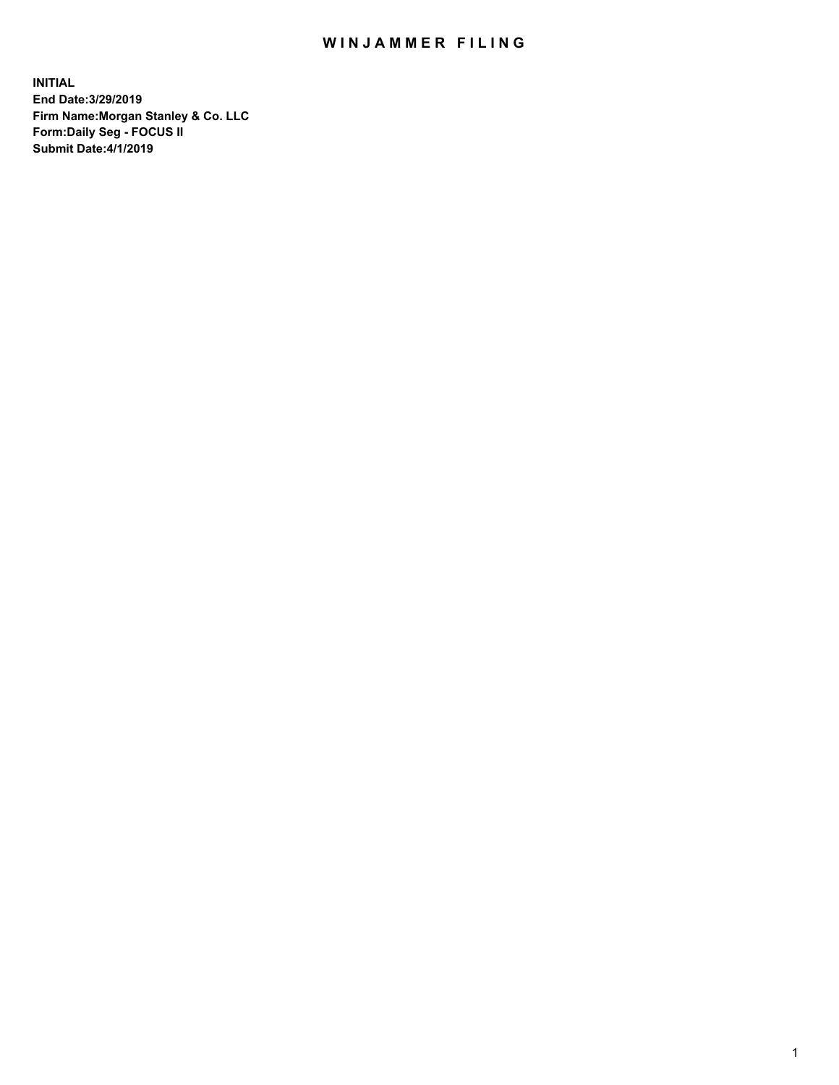## WIN JAMMER FILING

**INITIAL End Date:3/29/2019 Firm Name:Morgan Stanley & Co. LLC Form:Daily Seg - FOCUS II Submit Date:4/1/2019**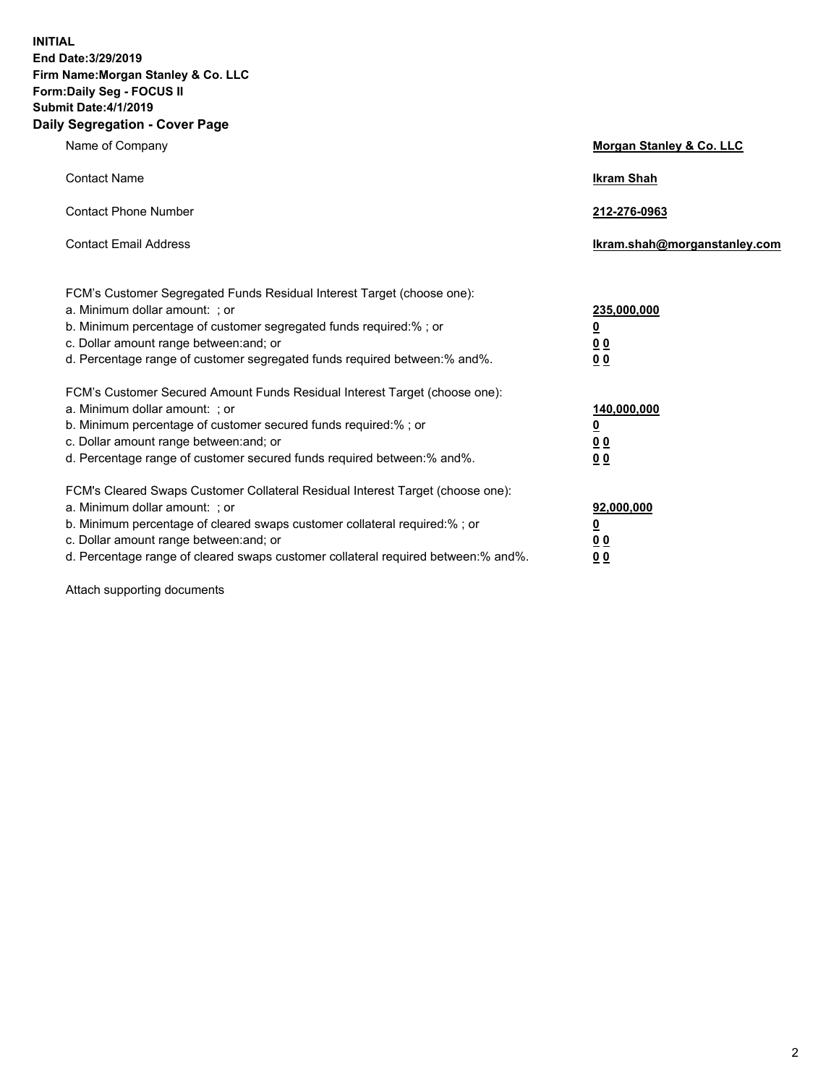**INITIAL End Date:3/29/2019 Firm Name:Morgan Stanley & Co. LLC Form:Daily Seg - FOCUS II Submit Date:4/1/2019 Daily Segregation - Cover Page**

| Name of Company                                                                                                                                                                                                                                                                                                                | Morgan Stanley & Co. LLC                                    |
|--------------------------------------------------------------------------------------------------------------------------------------------------------------------------------------------------------------------------------------------------------------------------------------------------------------------------------|-------------------------------------------------------------|
| <b>Contact Name</b>                                                                                                                                                                                                                                                                                                            | <b>Ikram Shah</b>                                           |
| <b>Contact Phone Number</b>                                                                                                                                                                                                                                                                                                    | 212-276-0963                                                |
| <b>Contact Email Address</b>                                                                                                                                                                                                                                                                                                   | lkram.shah@morganstanley.com                                |
| FCM's Customer Segregated Funds Residual Interest Target (choose one):<br>a. Minimum dollar amount: ; or<br>b. Minimum percentage of customer segregated funds required:% ; or<br>c. Dollar amount range between: and; or<br>d. Percentage range of customer segregated funds required between:% and%.                         | 235,000,000<br><u>0</u><br>0 <sup>0</sup><br>00             |
| FCM's Customer Secured Amount Funds Residual Interest Target (choose one):<br>a. Minimum dollar amount: ; or<br>b. Minimum percentage of customer secured funds required:%; or<br>c. Dollar amount range between: and; or<br>d. Percentage range of customer secured funds required between:% and%.                            | 140,000,000<br><u>0</u><br>0 <sub>0</sub><br>0 <sub>0</sub> |
| FCM's Cleared Swaps Customer Collateral Residual Interest Target (choose one):<br>a. Minimum dollar amount: ; or<br>b. Minimum percentage of cleared swaps customer collateral required:% ; or<br>c. Dollar amount range between: and; or<br>d. Percentage range of cleared swaps customer collateral required between:% and%. | 92,000,000<br><u>0</u><br><u>00</u><br>00                   |

Attach supporting documents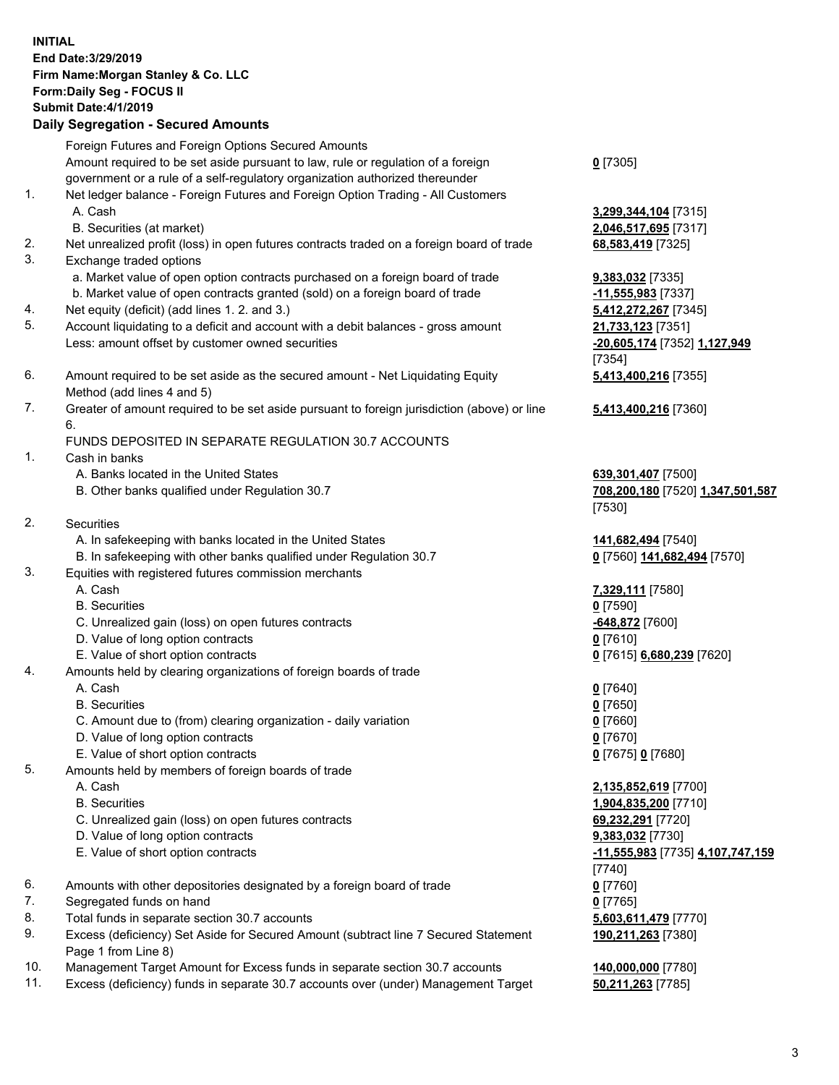|    | <b>INITIAL</b><br>End Date: 3/29/2019<br>Firm Name: Morgan Stanley & Co. LLC<br>Form: Daily Seg - FOCUS II<br><b>Submit Date: 4/1/2019</b><br><b>Daily Segregation - Secured Amounts</b> |                                            |
|----|------------------------------------------------------------------------------------------------------------------------------------------------------------------------------------------|--------------------------------------------|
|    | Foreign Futures and Foreign Options Secured Amounts                                                                                                                                      |                                            |
|    | Amount required to be set aside pursuant to law, rule or regulation of a foreign                                                                                                         | $0$ [7305]                                 |
| 1. | government or a rule of a self-regulatory organization authorized thereunder<br>Net ledger balance - Foreign Futures and Foreign Option Trading - All Customers                          |                                            |
|    | A. Cash                                                                                                                                                                                  | 3,299,344,104 [7315]                       |
|    | B. Securities (at market)                                                                                                                                                                | 2,046,517,695 [7317]                       |
| 2. | Net unrealized profit (loss) in open futures contracts traded on a foreign board of trade                                                                                                | 68,583,419 [7325]                          |
| 3. | Exchange traded options                                                                                                                                                                  |                                            |
|    | a. Market value of open option contracts purchased on a foreign board of trade                                                                                                           | 9,383,032 [7335]                           |
|    | b. Market value of open contracts granted (sold) on a foreign board of trade                                                                                                             | -11,555,983 [7337]                         |
| 4. | Net equity (deficit) (add lines 1.2. and 3.)                                                                                                                                             | 5,412,272,267 [7345]                       |
| 5. | Account liquidating to a deficit and account with a debit balances - gross amount<br>Less: amount offset by customer owned securities                                                    | 21,733,123 [7351]                          |
|    |                                                                                                                                                                                          | -20,605,174 [7352] 1,127,949<br>[7354]     |
| 6. | Amount required to be set aside as the secured amount - Net Liquidating Equity                                                                                                           | 5,413,400,216 [7355]                       |
|    | Method (add lines 4 and 5)                                                                                                                                                               |                                            |
| 7. | Greater of amount required to be set aside pursuant to foreign jurisdiction (above) or line<br>6.                                                                                        | 5,413,400,216 [7360]                       |
|    | FUNDS DEPOSITED IN SEPARATE REGULATION 30.7 ACCOUNTS                                                                                                                                     |                                            |
| 1. | Cash in banks                                                                                                                                                                            |                                            |
|    | A. Banks located in the United States                                                                                                                                                    | 639,301,407 [7500]                         |
|    | B. Other banks qualified under Regulation 30.7                                                                                                                                           | 708,200,180 [7520] 1,347,501,587<br>[7530] |
| 2. | Securities                                                                                                                                                                               |                                            |
|    | A. In safekeeping with banks located in the United States                                                                                                                                | 141,682,494 [7540]                         |
|    | B. In safekeeping with other banks qualified under Regulation 30.7                                                                                                                       | 0 [7560] 141,682,494 [7570]                |
| 3. | Equities with registered futures commission merchants                                                                                                                                    |                                            |
|    | A. Cash                                                                                                                                                                                  | 7,329,111 [7580]                           |
|    | <b>B.</b> Securities                                                                                                                                                                     | $0$ [7590]                                 |
|    | C. Unrealized gain (loss) on open futures contracts                                                                                                                                      | -648,872 [7600]                            |
|    | D. Value of long option contracts                                                                                                                                                        | $0$ [7610]                                 |
| 4. | E. Value of short option contracts<br>Amounts held by clearing organizations of foreign boards of trade                                                                                  | 0 [7615] 6,680,239 [7620]                  |
|    | A. Cash                                                                                                                                                                                  | $0$ [7640]                                 |
|    | <b>B.</b> Securities                                                                                                                                                                     | $0$ [7650]                                 |
|    | C. Amount due to (from) clearing organization - daily variation                                                                                                                          | $0$ [7660]                                 |
|    | D. Value of long option contracts                                                                                                                                                        | $0$ [7670]                                 |
|    | E. Value of short option contracts                                                                                                                                                       | 0 [7675] 0 [7680]                          |
| 5. | Amounts held by members of foreign boards of trade                                                                                                                                       |                                            |
|    | A. Cash                                                                                                                                                                                  | 2,135,852,619 [7700]                       |
|    | <b>B.</b> Securities                                                                                                                                                                     | 1,904,835,200 [7710]                       |
|    | C. Unrealized gain (loss) on open futures contracts<br>D. Value of long option contracts                                                                                                 | 69,232,291 [7720]<br>9,383,032 [7730]      |
|    | E. Value of short option contracts                                                                                                                                                       | <u>-11,555,983</u> [7735] 4,107,747,159    |
|    |                                                                                                                                                                                          | $[7740]$                                   |
| 6. | Amounts with other depositories designated by a foreign board of trade                                                                                                                   | $0$ [7760]                                 |
| 7. | Segregated funds on hand                                                                                                                                                                 | $0$ [7765]                                 |
| 8. | Total funds in separate section 30.7 accounts                                                                                                                                            | 5,603,611,479 [7770]                       |
| 9. | Excess (deficiency) Set Aside for Secured Amount (subtract line 7 Secured Statement<br>Page 1 from Line 8)                                                                               | 190,211,263 [7380]                         |

- 10. Management Target Amount for Excess funds in separate section 30.7 accounts **140,000,000** [7780]
- 11. Excess (deficiency) funds in separate 30.7 accounts over (under) Management Target **50,211,263** [7785]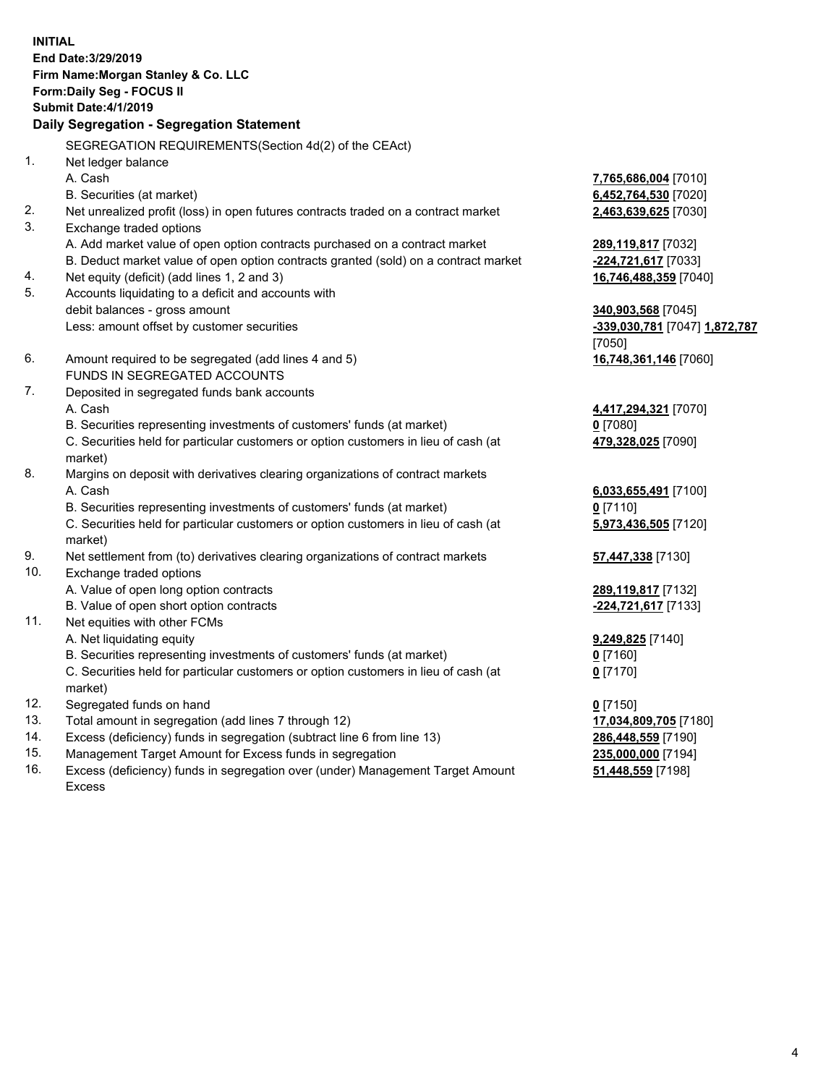**INITIAL End Date:3/29/2019 Firm Name:Morgan Stanley & Co. LLC Form:Daily Seg - FOCUS II Submit Date:4/1/2019 Daily Segregation - Segregation Statement** SEGREGATION REQUIREMENTS(Section 4d(2) of the CEAct) 1. Net ledger balance A. Cash **7,765,686,004** [7010] B. Securities (at market) **6,452,764,530** [7020] 2. Net unrealized profit (loss) in open futures contracts traded on a contract market **2,463,639,625** [7030] 3. Exchange traded options A. Add market value of open option contracts purchased on a contract market **289,119,817** [7032] B. Deduct market value of open option contracts granted (sold) on a contract market **-224,721,617** [7033] 4. Net equity (deficit) (add lines 1, 2 and 3) **16,746,488,359** [7040] 5. Accounts liquidating to a deficit and accounts with debit balances - gross amount **340,903,568** [7045] Less: amount offset by customer securities **-339,030,781** [7047] **1,872,787** [7050] 6. Amount required to be segregated (add lines 4 and 5) **16,748,361,146** [7060] FUNDS IN SEGREGATED ACCOUNTS 7. Deposited in segregated funds bank accounts A. Cash **4,417,294,321** [7070] B. Securities representing investments of customers' funds (at market) **0** [7080] C. Securities held for particular customers or option customers in lieu of cash (at market) **479,328,025** [7090] 8. Margins on deposit with derivatives clearing organizations of contract markets A. Cash **6,033,655,491** [7100] B. Securities representing investments of customers' funds (at market) **0** [7110] C. Securities held for particular customers or option customers in lieu of cash (at market) **5,973,436,505** [7120] 9. Net settlement from (to) derivatives clearing organizations of contract markets **57,447,338** [7130] 10. Exchange traded options A. Value of open long option contracts **289,119,817** [7132] B. Value of open short option contracts **-224,721,617** [7133] 11. Net equities with other FCMs A. Net liquidating equity **9,249,825** [7140] B. Securities representing investments of customers' funds (at market) **0** [7160] C. Securities held for particular customers or option customers in lieu of cash (at market) **0** [7170] 12. Segregated funds on hand **0** [7150] 13. Total amount in segregation (add lines 7 through 12) **17,034,809,705** [7180] 14. Excess (deficiency) funds in segregation (subtract line 6 from line 13) **286,448,559** [7190]

- 15. Management Target Amount for Excess funds in segregation **235,000,000** [7194]
- 16. Excess (deficiency) funds in segregation over (under) Management Target Amount Excess

**51,448,559** [7198]